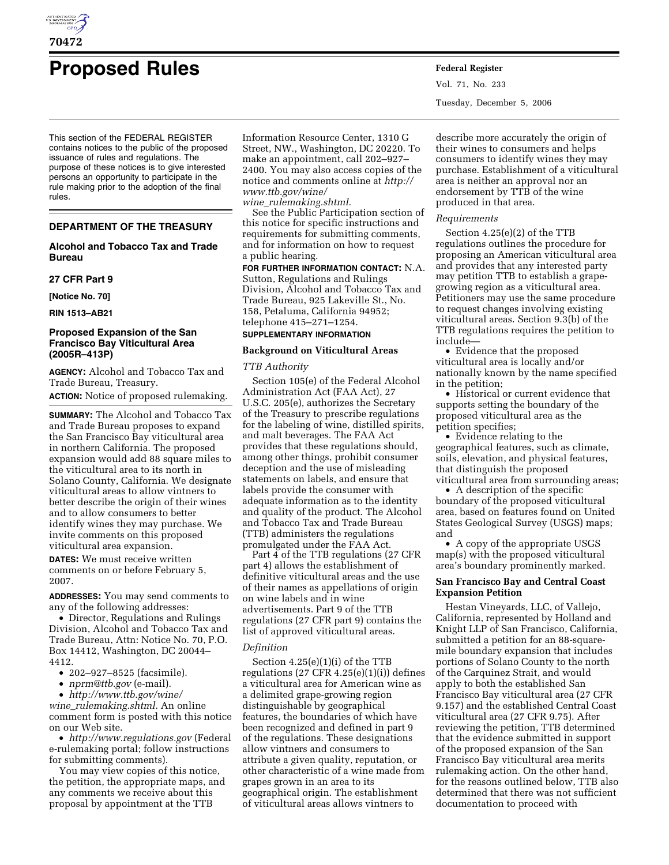

# **Proposed Rules Federal Register**

This section of the FEDERAL REGISTER contains notices to the public of the proposed issuance of rules and regulations. The purpose of these notices is to give interested persons an opportunity to participate in the rule making prior to the adoption of the final rules.

# **DEPARTMENT OF THE TREASURY**

# **Alcohol and Tobacco Tax and Trade Bureau**

#### **27 CFR Part 9**

**[Notice No. 70]** 

**RIN 1513–AB21** 

# **Proposed Expansion of the San Francisco Bay Viticultural Area (2005R–413P)**

**AGENCY:** Alcohol and Tobacco Tax and Trade Bureau, Treasury.

**ACTION:** Notice of proposed rulemaking.

**SUMMARY:** The Alcohol and Tobacco Tax and Trade Bureau proposes to expand the San Francisco Bay viticultural area in northern California. The proposed expansion would add 88 square miles to the viticultural area to its north in Solano County, California. We designate viticultural areas to allow vintners to better describe the origin of their wines and to allow consumers to better identify wines they may purchase. We invite comments on this proposed viticultural area expansion.

**DATES:** We must receive written comments on or before February 5, 2007.

**ADDRESSES:** You may send comments to any of the following addresses:

• Director, Regulations and Rulings Division, Alcohol and Tobacco Tax and Trade Bureau, Attn: Notice No. 70, P.O. Box 14412, Washington, DC 20044– 4412.

- 202–927–8525 (facsimile).
- *nprm@ttb.gov* (e-mail).
- *http://www.ttb.gov/wine/*

*wine*\_*rulemaking.shtml.* An online comment form is posted with this notice on our Web site.

• *http://www.regulations.gov* (Federal e-rulemaking portal; follow instructions for submitting comments).

You may view copies of this notice, the petition, the appropriate maps, and any comments we receive about this proposal by appointment at the TTB

Information Resource Center, 1310 G Street, NW., Washington, DC 20220. To make an appointment, call 202–927– 2400. You may also access copies of the notice and comments online at *http:// www.ttb.gov/wine/* 

*wine*\_*rulemaking.shtml.* 

See the Public Participation section of this notice for specific instructions and requirements for submitting comments, and for information on how to request a public hearing.

**FOR FURTHER INFORMATION CONTACT:** N.A. Sutton, Regulations and Rulings Division, Alcohol and Tobacco Tax and Trade Bureau, 925 Lakeville St., No. 158, Petaluma, California 94952; telephone 415–271–1254.

# **SUPPLEMENTARY INFORMATION**

#### **Background on Viticultural Areas**

# *TTB Authority*

Section 105(e) of the Federal Alcohol Administration Act (FAA Act), 27 U.S.C. 205(e), authorizes the Secretary of the Treasury to prescribe regulations for the labeling of wine, distilled spirits, and malt beverages. The FAA Act provides that these regulations should, among other things, prohibit consumer deception and the use of misleading statements on labels, and ensure that labels provide the consumer with adequate information as to the identity and quality of the product. The Alcohol and Tobacco Tax and Trade Bureau (TTB) administers the regulations promulgated under the FAA Act.

Part 4 of the TTB regulations (27 CFR part 4) allows the establishment of definitive viticultural areas and the use of their names as appellations of origin on wine labels and in wine advertisements. Part 9 of the TTB regulations (27 CFR part 9) contains the list of approved viticultural areas.

# *Definition*

Section 4.25(e)(1)(i) of the TTB regulations (27 CFR 4.25(e)(1)(i)) defines a viticultural area for American wine as a delimited grape-growing region distinguishable by geographical features, the boundaries of which have been recognized and defined in part 9 of the regulations. These designations allow vintners and consumers to attribute a given quality, reputation, or other characteristic of a wine made from grapes grown in an area to its geographical origin. The establishment of viticultural areas allows vintners to

Vol. 71, No. 233 Tuesday, December 5, 2006

describe more accurately the origin of their wines to consumers and helps consumers to identify wines they may purchase. Establishment of a viticultural area is neither an approval nor an endorsement by TTB of the wine produced in that area.

#### *Requirements*

Section 4.25(e)(2) of the TTB regulations outlines the procedure for proposing an American viticultural area and provides that any interested party may petition TTB to establish a grapegrowing region as a viticultural area. Petitioners may use the same procedure to request changes involving existing viticultural areas. Section 9.3(b) of the TTB regulations requires the petition to include—

• Evidence that the proposed viticultural area is locally and/or nationally known by the name specified in the petition;

• Historical or current evidence that supports setting the boundary of the proposed viticultural area as the petition specifies;

• Evidence relating to the geographical features, such as climate, soils, elevation, and physical features, that distinguish the proposed viticultural area from surrounding areas;

• A description of the specific boundary of the proposed viticultural area, based on features found on United States Geological Survey (USGS) maps; and

• A copy of the appropriate USGS map(s) with the proposed viticultural area's boundary prominently marked.

# **San Francisco Bay and Central Coast Expansion Petition**

Hestan Vineyards, LLC, of Vallejo, California, represented by Holland and Knight LLP of San Francisco, California, submitted a petition for an 88-squaremile boundary expansion that includes portions of Solano County to the north of the Carquinez Strait, and would apply to both the established San Francisco Bay viticultural area (27 CFR 9.157) and the established Central Coast viticultural area (27 CFR 9.75). After reviewing the petition, TTB determined that the evidence submitted in support of the proposed expansion of the San Francisco Bay viticultural area merits rulemaking action. On the other hand, for the reasons outlined below, TTB also determined that there was not sufficient documentation to proceed with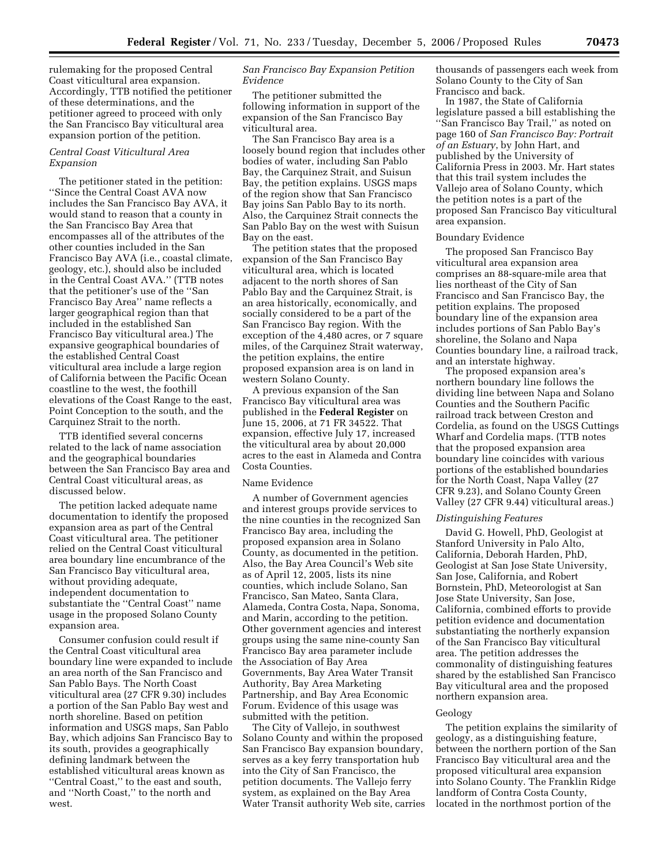rulemaking for the proposed Central Coast viticultural area expansion. Accordingly, TTB notified the petitioner of these determinations, and the petitioner agreed to proceed with only the San Francisco Bay viticultural area expansion portion of the petition.

# *Central Coast Viticultural Area Expansion*

The petitioner stated in the petition: ''Since the Central Coast AVA now includes the San Francisco Bay AVA, it would stand to reason that a county in the San Francisco Bay Area that encompasses all of the attributes of the other counties included in the San Francisco Bay AVA (i.e., coastal climate, geology, etc.), should also be included in the Central Coast AVA.'' (TTB notes that the petitioner's use of the ''San Francisco Bay Area'' name reflects a larger geographical region than that included in the established San Francisco Bay viticultural area.) The expansive geographical boundaries of the established Central Coast viticultural area include a large region of California between the Pacific Ocean coastline to the west, the foothill elevations of the Coast Range to the east, Point Conception to the south, and the Carquinez Strait to the north.

TTB identified several concerns related to the lack of name association and the geographical boundaries between the San Francisco Bay area and Central Coast viticultural areas, as discussed below.

The petition lacked adequate name documentation to identify the proposed expansion area as part of the Central Coast viticultural area. The petitioner relied on the Central Coast viticultural area boundary line encumbrance of the San Francisco Bay viticultural area, without providing adequate, independent documentation to substantiate the ''Central Coast'' name usage in the proposed Solano County expansion area.

Consumer confusion could result if the Central Coast viticultural area boundary line were expanded to include an area north of the San Francisco and San Pablo Bays. The North Coast viticultural area (27 CFR 9.30) includes a portion of the San Pablo Bay west and north shoreline. Based on petition information and USGS maps, San Pablo Bay, which adjoins San Francisco Bay to its south, provides a geographically defining landmark between the established viticultural areas known as ''Central Coast,'' to the east and south, and ''North Coast,'' to the north and west.

# *San Francisco Bay Expansion Petition Evidence*

The petitioner submitted the following information in support of the expansion of the San Francisco Bay viticultural area.

The San Francisco Bay area is a loosely bound region that includes other bodies of water, including San Pablo Bay, the Carquinez Strait, and Suisun Bay, the petition explains. USGS maps of the region show that San Francisco Bay joins San Pablo Bay to its north. Also, the Carquinez Strait connects the San Pablo Bay on the west with Suisun Bay on the east.

The petition states that the proposed expansion of the San Francisco Bay viticultural area, which is located adjacent to the north shores of San Pablo Bay and the Carquinez Strait, is an area historically, economically, and socially considered to be a part of the San Francisco Bay region. With the exception of the 4,480 acres, or 7 square miles, of the Carquinez Strait waterway, the petition explains, the entire proposed expansion area is on land in western Solano County.

A previous expansion of the San Francisco Bay viticultural area was published in the **Federal Register** on June 15, 2006, at 71 FR 34522. That expansion, effective July 17, increased the viticultural area by about 20,000 acres to the east in Alameda and Contra Costa Counties.

#### Name Evidence

A number of Government agencies and interest groups provide services to the nine counties in the recognized San Francisco Bay area, including the proposed expansion area in Solano County, as documented in the petition. Also, the Bay Area Council's Web site as of April 12, 2005, lists its nine counties, which include Solano, San Francisco, San Mateo, Santa Clara, Alameda, Contra Costa, Napa, Sonoma, and Marin, according to the petition. Other government agencies and interest groups using the same nine-county San Francisco Bay area parameter include the Association of Bay Area Governments, Bay Area Water Transit Authority, Bay Area Marketing Partnership, and Bay Area Economic Forum. Evidence of this usage was submitted with the petition.

The City of Vallejo, in southwest Solano County and within the proposed San Francisco Bay expansion boundary, serves as a key ferry transportation hub into the City of San Francisco, the petition documents. The Vallejo ferry system, as explained on the Bay Area Water Transit authority Web site, carries thousands of passengers each week from Solano County to the City of San Francisco and back.

In 1987, the State of California legislature passed a bill establishing the ''San Francisco Bay Trail,'' as noted on page 160 of *San Francisco Bay: Portrait of an Estuary*, by John Hart, and published by the University of California Press in 2003. Mr. Hart states that this trail system includes the Vallejo area of Solano County, which the petition notes is a part of the proposed San Francisco Bay viticultural area expansion.

#### Boundary Evidence

The proposed San Francisco Bay viticultural area expansion area comprises an 88-square-mile area that lies northeast of the City of San Francisco and San Francisco Bay, the petition explains. The proposed boundary line of the expansion area includes portions of San Pablo Bay's shoreline, the Solano and Napa Counties boundary line, a railroad track, and an interstate highway.

The proposed expansion area's northern boundary line follows the dividing line between Napa and Solano Counties and the Southern Pacific railroad track between Creston and Cordelia, as found on the USGS Cuttings Wharf and Cordelia maps. (TTB notes that the proposed expansion area boundary line coincides with various portions of the established boundaries for the North Coast, Napa Valley (27 CFR 9.23), and Solano County Green Valley (27 CFR 9.44) viticultural areas.)

#### *Distinguishing Features*

David G. Howell, PhD, Geologist at Stanford University in Palo Alto, California, Deborah Harden, PhD, Geologist at San Jose State University, San Jose, California, and Robert Bornstein, PhD, Meteorologist at San Jose State University, San Jose, California, combined efforts to provide petition evidence and documentation substantiating the northerly expansion of the San Francisco Bay viticultural area. The petition addresses the commonality of distinguishing features shared by the established San Francisco Bay viticultural area and the proposed northern expansion area.

# Geology

The petition explains the similarity of geology, as a distinguishing feature, between the northern portion of the San Francisco Bay viticultural area and the proposed viticultural area expansion into Solano County. The Franklin Ridge landform of Contra Costa County, located in the northmost portion of the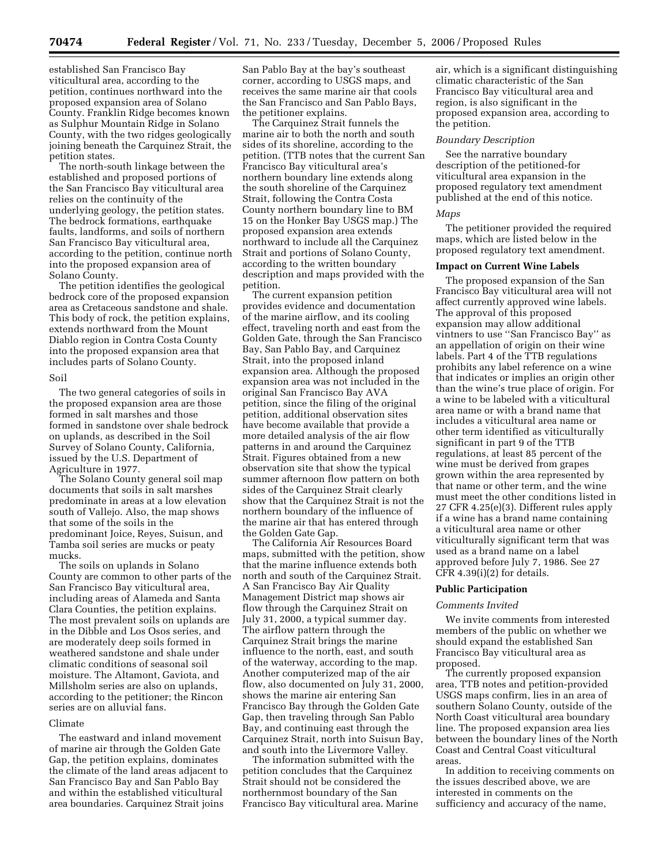established San Francisco Bay viticultural area, according to the petition, continues northward into the proposed expansion area of Solano County. Franklin Ridge becomes known as Sulphur Mountain Ridge in Solano County, with the two ridges geologically joining beneath the Carquinez Strait, the petition states.

The north-south linkage between the established and proposed portions of the San Francisco Bay viticultural area relies on the continuity of the underlying geology, the petition states. The bedrock formations, earthquake faults, landforms, and soils of northern San Francisco Bay viticultural area, according to the petition, continue north into the proposed expansion area of Solano County.

The petition identifies the geological bedrock core of the proposed expansion area as Cretaceous sandstone and shale. This body of rock, the petition explains, extends northward from the Mount Diablo region in Contra Costa County into the proposed expansion area that includes parts of Solano County.

# Soil

The two general categories of soils in the proposed expansion area are those formed in salt marshes and those formed in sandstone over shale bedrock on uplands, as described in the Soil Survey of Solano County, California, issued by the U.S. Department of Agriculture in 1977.

The Solano County general soil map documents that soils in salt marshes predominate in areas at a low elevation south of Vallejo. Also, the map shows that some of the soils in the predominant Joice, Reyes, Suisun, and Tamba soil series are mucks or peaty mucks.

The soils on uplands in Solano County are common to other parts of the San Francisco Bay viticultural area, including areas of Alameda and Santa Clara Counties, the petition explains. The most prevalent soils on uplands are in the Dibble and Los Osos series, and are moderately deep soils formed in weathered sandstone and shale under climatic conditions of seasonal soil moisture. The Altamont, Gaviota, and Millsholm series are also on uplands, according to the petitioner; the Rincon series are on alluvial fans.

# Climate

The eastward and inland movement of marine air through the Golden Gate Gap, the petition explains, dominates the climate of the land areas adjacent to San Francisco Bay and San Pablo Bay and within the established viticultural area boundaries. Carquinez Strait joins

San Pablo Bay at the bay's southeast corner, according to USGS maps, and receives the same marine air that cools the San Francisco and San Pablo Bays, the petitioner explains.

The Carquinez Strait funnels the marine air to both the north and south sides of its shoreline, according to the petition. (TTB notes that the current San Francisco Bay viticultural area's northern boundary line extends along the south shoreline of the Carquinez Strait, following the Contra Costa County northern boundary line to BM 15 on the Honker Bay USGS map.) The proposed expansion area extends northward to include all the Carquinez Strait and portions of Solano County, according to the written boundary description and maps provided with the petition.

The current expansion petition provides evidence and documentation of the marine airflow, and its cooling effect, traveling north and east from the Golden Gate, through the San Francisco Bay, San Pablo Bay, and Carquinez Strait, into the proposed inland expansion area. Although the proposed expansion area was not included in the original San Francisco Bay AVA petition, since the filing of the original petition, additional observation sites have become available that provide a more detailed analysis of the air flow patterns in and around the Carquinez Strait. Figures obtained from a new observation site that show the typical summer afternoon flow pattern on both sides of the Carquinez Strait clearly show that the Carquinez Strait is not the northern boundary of the influence of the marine air that has entered through the Golden Gate Gap.

The California Air Resources Board maps, submitted with the petition, show that the marine influence extends both north and south of the Carquinez Strait. A San Francisco Bay Air Quality Management District map shows air flow through the Carquinez Strait on July 31, 2000, a typical summer day. The airflow pattern through the Carquinez Strait brings the marine influence to the north, east, and south of the waterway, according to the map. Another computerized map of the air flow, also documented on July 31, 2000, shows the marine air entering San Francisco Bay through the Golden Gate Gap, then traveling through San Pablo Bay, and continuing east through the Carquinez Strait, north into Suisun Bay, and south into the Livermore Valley.

The information submitted with the petition concludes that the Carquinez Strait should not be considered the northernmost boundary of the San Francisco Bay viticultural area. Marine air, which is a significant distinguishing climatic characteristic of the San Francisco Bay viticultural area and region, is also significant in the proposed expansion area, according to the petition.

#### *Boundary Description*

See the narrative boundary description of the petitioned-for viticultural area expansion in the proposed regulatory text amendment published at the end of this notice.

# *Maps*

The petitioner provided the required maps, which are listed below in the proposed regulatory text amendment.

#### **Impact on Current Wine Labels**

The proposed expansion of the San Francisco Bay viticultural area will not affect currently approved wine labels. The approval of this proposed expansion may allow additional vintners to use ''San Francisco Bay'' as an appellation of origin on their wine labels. Part 4 of the TTB regulations prohibits any label reference on a wine that indicates or implies an origin other than the wine's true place of origin. For a wine to be labeled with a viticultural area name or with a brand name that includes a viticultural area name or other term identified as viticulturally significant in part 9 of the TTB regulations, at least 85 percent of the wine must be derived from grapes grown within the area represented by that name or other term, and the wine must meet the other conditions listed in 27 CFR 4.25(e)(3). Different rules apply if a wine has a brand name containing a viticultural area name or other viticulturally significant term that was used as a brand name on a label approved before July 7, 1986. See 27 CFR 4.39(i)(2) for details.

# **Public Participation**

#### *Comments Invited*

We invite comments from interested members of the public on whether we should expand the established San Francisco Bay viticultural area as proposed.

The currently proposed expansion area, TTB notes and petition-provided USGS maps confirm, lies in an area of southern Solano County, outside of the North Coast viticultural area boundary line. The proposed expansion area lies between the boundary lines of the North Coast and Central Coast viticultural areas.

In addition to receiving comments on the issues described above, we are interested in comments on the sufficiency and accuracy of the name,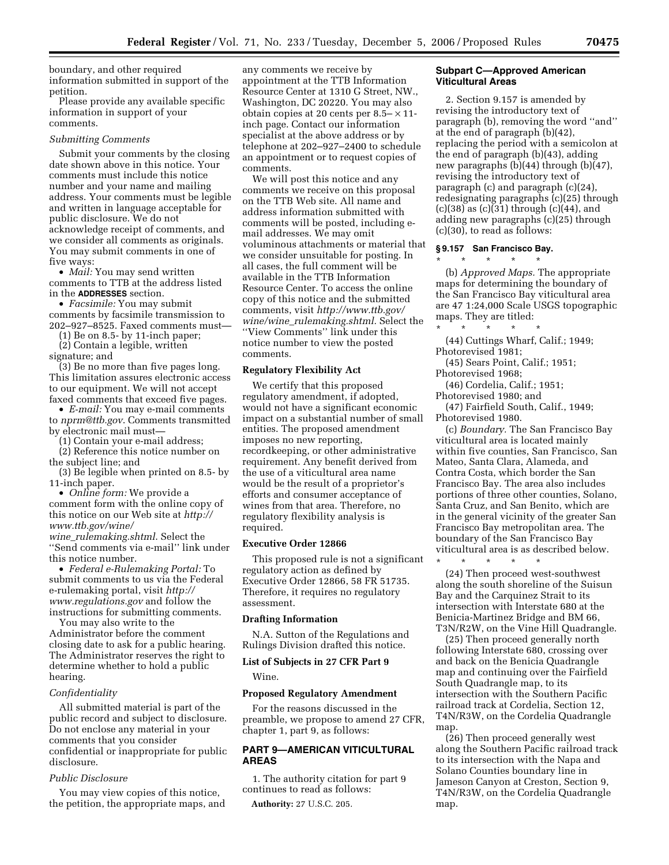boundary, and other required information submitted in support of the petition.

Please provide any available specific information in support of your comments.

#### *Submitting Comments*

Submit your comments by the closing date shown above in this notice. Your comments must include this notice number and your name and mailing address. Your comments must be legible and written in language acceptable for public disclosure. We do not acknowledge receipt of comments, and we consider all comments as originals. You may submit comments in one of five ways:

• *Mail:* You may send written comments to TTB at the address listed in the **ADDRESSES** section.

• *Facsimile:* You may submit comments by facsimile transmission to 202–927–8525. Faxed comments must—

(1) Be on 8.5- by 11-inch paper; (2) Contain a legible, written

signature; and

(3) Be no more than five pages long. This limitation assures electronic access to our equipment. We will not accept faxed comments that exceed five pages.

• *E-mail:* You may e-mail comments to *nprm@ttb.gov*. Comments transmitted by electronic mail must—

(1) Contain your e-mail address; (2) Reference this notice number on

the subject line; and (3) Be legible when printed on 8.5- by 11-inch paper.

• *Online form:* We provide a comment form with the online copy of this notice on our Web site at *http:// www.ttb.gov/wine/ wine*\_*rulemaking.shtml*. Select the

''Send comments via e-mail'' link under this notice number.

• *Federal e-Rulemaking Portal:* To submit comments to us via the Federal e-rulemaking portal, visit *http:// www.regulations.gov* and follow the instructions for submitting comments.

You may also write to the Administrator before the comment closing date to ask for a public hearing. The Administrator reserves the right to determine whether to hold a public hearing.

#### *Confidentiality*

All submitted material is part of the public record and subject to disclosure. Do not enclose any material in your comments that you consider confidential or inappropriate for public disclosure.

# *Public Disclosure*

You may view copies of this notice, the petition, the appropriate maps, and any comments we receive by appointment at the TTB Information Resource Center at 1310 G Street, NW., Washington, DC 20220. You may also obtain copies at 20 cents per  $8.5 - \times 11$ inch page. Contact our information specialist at the above address or by telephone at 202–927–2400 to schedule an appointment or to request copies of comments.

We will post this notice and any comments we receive on this proposal on the TTB Web site. All name and address information submitted with comments will be posted, including email addresses. We may omit voluminous attachments or material that we consider unsuitable for posting. In all cases, the full comment will be available in the TTB Information Resource Center. To access the online copy of this notice and the submitted comments, visit *http://www.ttb.gov/ wine/wine*\_*rulemaking.shtml.* Select the ''View Comments'' link under this notice number to view the posted comments.

# **Regulatory Flexibility Act**

We certify that this proposed regulatory amendment, if adopted, would not have a significant economic impact on a substantial number of small entities. The proposed amendment imposes no new reporting, recordkeeping, or other administrative requirement. Any benefit derived from the use of a viticultural area name would be the result of a proprietor's efforts and consumer acceptance of wines from that area. Therefore, no regulatory flexibility analysis is required.

#### **Executive Order 12866**

This proposed rule is not a significant regulatory action as defined by Executive Order 12866, 58 FR 51735. Therefore, it requires no regulatory assessment.

# **Drafting Information**

N.A. Sutton of the Regulations and Rulings Division drafted this notice.

# **List of Subjects in 27 CFR Part 9**

Wine.

#### **Proposed Regulatory Amendment**

For the reasons discussed in the preamble, we propose to amend 27 CFR, chapter 1, part 9, as follows:

# **PART 9—AMERICAN VITICULTURAL AREAS**

1. The authority citation for part 9 continues to read as follows:

**Authority:** 27 U.S.C. 205.

#### **Subpart C—Approved American Viticultural Areas**

2. Section 9.157 is amended by revising the introductory text of paragraph (b), removing the word ''and'' at the end of paragraph (b)(42), replacing the period with a semicolon at the end of paragraph (b)(43), adding new paragraphs (b)(44) through (b)(47), revising the introductory text of paragraph (c) and paragraph (c)(24), redesignating paragraphs (c)(25) through  $(c)(38)$  as  $(c)(31)$  through  $(c)(44)$ , and adding new paragraphs (c)(25) through (c)(30), to read as follows:

# **§ 9.157 San Francisco Bay.**

\* \* \* \* \*

(b) *Approved Maps.* The appropriate maps for determining the boundary of the San Francisco Bay viticultural area are 47 1:24,000 Scale USGS topographic maps. They are titled: \* \* \* \* \*

(44) Cuttings Wharf, Calif.; 1949; Photorevised 1981;

(45) Sears Point, Calif.; 1951; Photorevised 1968;

(46) Cordelia, Calif.; 1951; Photorevised 1980; and

(47) Fairfield South, Calif., 1949; Photorevised 1980.

(c) *Boundary.* The San Francisco Bay viticultural area is located mainly within five counties, San Francisco, San Mateo, Santa Clara, Alameda, and Contra Costa, which border the San Francisco Bay. The area also includes portions of three other counties, Solano, Santa Cruz, and San Benito, which are in the general vicinity of the greater San Francisco Bay metropolitan area. The boundary of the San Francisco Bay viticultural area is as described below.

\* \* \* \* \* (24) Then proceed west-southwest along the south shoreline of the Suisun Bay and the Carquinez Strait to its intersection with Interstate 680 at the Benicia-Martinez Bridge and BM 66, T3N/R2W, on the Vine Hill Quadrangle.

(25) Then proceed generally north following Interstate 680, crossing over and back on the Benicia Quadrangle map and continuing over the Fairfield South Quadrangle map, to its intersection with the Southern Pacific railroad track at Cordelia, Section 12, T4N/R3W, on the Cordelia Quadrangle map.

(26) Then proceed generally west along the Southern Pacific railroad track to its intersection with the Napa and Solano Counties boundary line in Jameson Canyon at Creston, Section 9, T4N/R3W, on the Cordelia Quadrangle map.